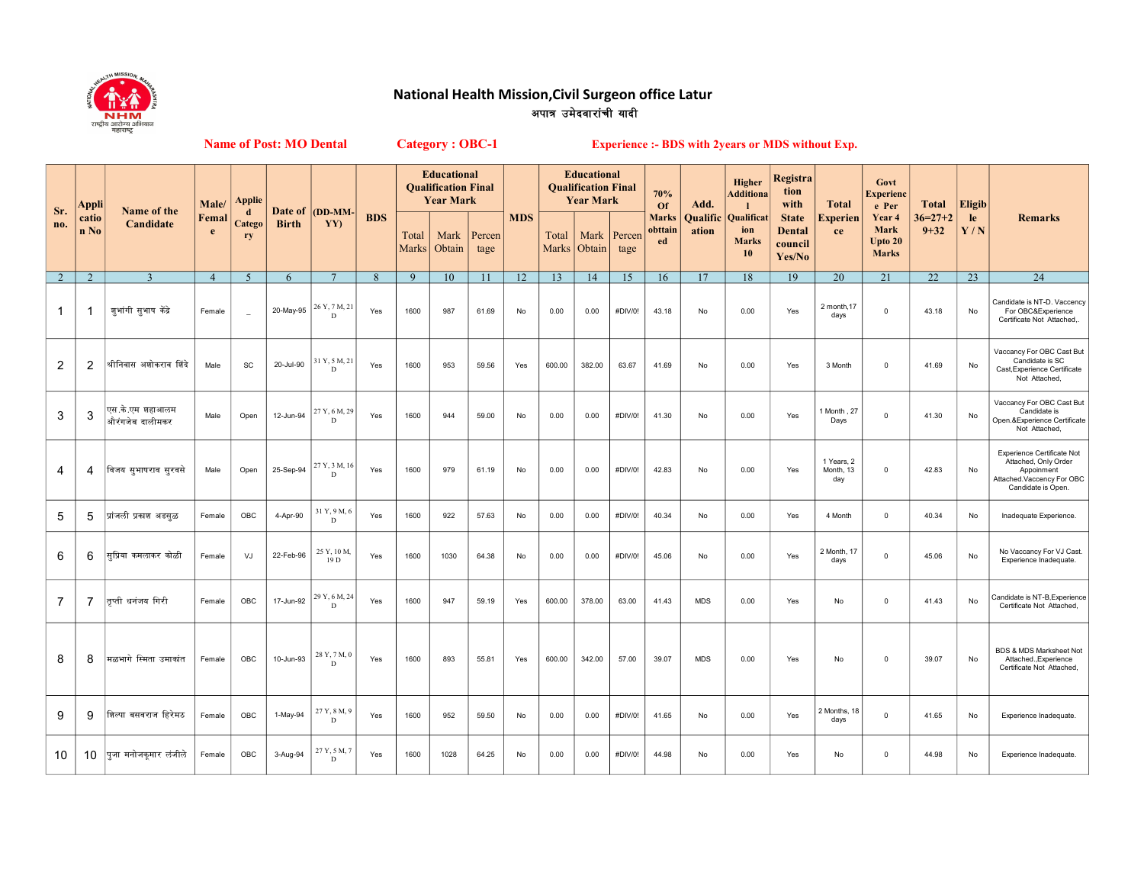

## National Health Mission,Civil Surgeon office Latur <u>अपात्र उमेदवारांची यादी</u>

Name of Post: MO Dental

Category : OBC-1 Experience :- BDS with 2years or MDS without Exp.

| Sr.            | Appli         | Name of the                        | Male/          | Applie<br>d              | Date of      | (DD-MM-             |              |                | <b>Educational</b><br><b>Qualification Final</b><br><b>Year Mark</b> |                |            | <b>Educational</b><br><b>Qualification Final</b><br><b>Year Mark</b> |                |                | 70%<br>Of                     | Add.              | Higher<br><b>Additiona</b>                     | Registra<br>tion<br>with                           | <b>Total</b>                   | Govt<br><b>Experienc</b><br>e Per         | Total                     | <b>Eligib</b> |                                                                                                                     |
|----------------|---------------|------------------------------------|----------------|--------------------------|--------------|---------------------|--------------|----------------|----------------------------------------------------------------------|----------------|------------|----------------------------------------------------------------------|----------------|----------------|-------------------------------|-------------------|------------------------------------------------|----------------------------------------------------|--------------------------------|-------------------------------------------|---------------------------|---------------|---------------------------------------------------------------------------------------------------------------------|
| no.            | catio<br>n No | Candidate                          | Femal<br>e     | Catego<br>ry             | <b>Birth</b> | YY)                 | <b>BDS</b>   | Total<br>Marks | Mark<br>Obtain                                                       | Percen<br>tage | <b>MDS</b> | Total<br>Marks                                                       | Mark<br>Obtain | Percen<br>tage | <b>Marks</b><br>obttain<br>ed | Qualific<br>ation | <b>Qualificat</b><br>ion<br><b>Marks</b><br>10 | <b>State</b><br><b>Dental</b><br>council<br>Yes/No | Experien<br>ce                 | Year 4<br>Mark<br>Upto 20<br><b>Marks</b> | $36 = 27 + 2$<br>$9 + 32$ | le<br>Y/N     | <b>Remarks</b>                                                                                                      |
| 2              | $\mathcal{D}$ | $\overline{3}$                     | $\overline{4}$ | $\overline{5}$           | 6            | $\mathcal{I}$       | $\mathbf{8}$ | 9              | 10 <sup>10</sup>                                                     | 11             | 12         | 13                                                                   | 14             | 15             | 16                            | 17                | 18                                             | 19                                                 | 20                             | 21                                        | 22                        | 23            | 24                                                                                                                  |
| $\mathbf 1$    | -1            | जूभांगी सूभाष केंद्रे              | Female         | $\overline{\phantom{a}}$ | 20-May-95    | 26 Y, 7 M, 21<br>D  | Yes          | 1600           | 987                                                                  | 61.69          | No         | 0.00                                                                 | 0.00           | #DIV/0!        | 43.18                         | No                | 0.00                                           | Yes                                                | 2 month, 17<br>days            | $\mathbf 0$                               | 43.18                     | No            | Candidate is NT-D. Vaccency<br>For OBC&Experience<br>Certificate Not Attached,.                                     |
| $\overline{2}$ | 2             | श्रीनिवास अशोकराव शिंदे            | Male           | SC                       | 20-Jul-90    | 31 Y, 5 M, 21<br>D  | Yes          | 1600           | 953                                                                  | 59.56          | Yes        | 600.00                                                               | 382.00         | 63.67          | 41.69                         | No                | 0.00                                           | Yes                                                | 3 Month                        | $\Omega$                                  | 41.69                     | No            | Vaccancy For OBC Cast But<br>Candidate is SC<br>Cast, Experience Certificate<br>Not Attached,                       |
| 3              | 3             | एस.के.एम शहाआलम<br>औरंगजेब दालीमकर | Male           | Open                     | 12-Jun-94    | 27 Y, 6 M, 29<br>D  | Yes          | 1600           | 944                                                                  | 59.00          | No         | 0.00                                                                 | 0.00           | #DIV/0!        | 41.30                         | No                | 0.00                                           | Yes                                                | 1 Month , 27<br>Days           | $\Omega$                                  | 41.30                     | No            | Vaccancy For OBC Cast But<br>Candidate is<br>Open.&Experience Certificate<br>Not Attached,                          |
| 4              | 4             | विजय सुभाषराव सुरवसे               | Male           | Open                     | 25-Sep-94    | 27 Y, 3 M, 16<br>D  | Yes          | 1600           | 979                                                                  | 61.19          | No         | 0.00                                                                 | 0.00           | #DIV/0!        | 42.83                         | No                | 0.00                                           | Yes                                                | 1 Years, 2<br>Month, 13<br>day | $\Omega$                                  | 42.83                     | No            | Experience Certificate Not<br>Attached, Only Order<br>Appoinment<br>Attached.Vaccency For OBC<br>Candidate is Open. |
| 5              | 5             | प्रांजली प्रकाश अडसळ               | Female         | OBC                      | 4-Apr-90     | 31 Y, 9 M, 6<br>D   | Yes          | 1600           | 922                                                                  | 57.63          | No         | 0.00                                                                 | 0.00           | #DIV/0!        | 40.34                         | No                | 0.00                                           | Yes                                                | 4 Month                        | $\mathsf 0$                               | 40.34                     | No            | Inadequate Experience.                                                                                              |
| 6              | 6             | सप्रिया कमलाकर कोळी                | Female         | VJ                       | 22-Feb-96    | 25 Y, 10 M.<br>19 D | Yes          | 1600           | 1030                                                                 | 64.38          | No         | 0.00                                                                 | 0.00           | #DIV/0!        | 45.06                         | No                | 0.00                                           | Yes                                                | 2 Month, 17<br>days            | $\mathbf 0$                               | 45.06                     | No            | No Vaccancy For VJ Cast.<br>Experience Inadequate.                                                                  |
| $\overline{7}$ | 7             | तप्ती धनंजय गिरी                   | Female         | OBC                      | 17-Jun-92    | 29 Y, 6 M, 24<br>D  | Yes          | 1600           | 947                                                                  | 59.19          | Yes        | 600.00                                                               | 378.00         | 63.00          | 41.43                         | <b>MDS</b>        | 0.00                                           | Yes                                                | No                             | $\mathsf 0$                               | 41.43                     | No            | Candidate is NT-B, Experience<br>Certificate Not Attached,                                                          |
| 8              | 8             | मळभागे स्मिता उमाकांत              | Female         | OBC                      | 10-Jun-93    | 28 Y, 7 M, 0<br>D   | Yes          | 1600           | 893                                                                  | 55.81          | Yes        | 600.00                                                               | 342.00         | 57.00          | 39.07                         | <b>MDS</b>        | 0.00                                           | Yes                                                | No                             | $\Omega$                                  | 39.07                     | No            | BDS & MDS Marksheet Not<br>Attached., Experience<br>Certificate Not Attached,                                       |
| 9              | 9             | शिल्पा बसवराज हिरेमठ               | Female         | OBC                      | 1-May-94     | 27 Y, 8 M, 9<br>D   | Yes          | 1600           | 952                                                                  | 59.50          | No         | 0.00                                                                 | 0.00           | #DIV/0!        | 41.65                         | No                | 0.00                                           | Yes                                                | 2 Months, 18<br>days           | $\mathbf 0$                               | 41.65                     | No            | Experience Inadequate.                                                                                              |
| 10             | 10            | पूजा मनोजकुमार लंजीले              | Female         | OBC                      | 3-Aug-94     | 27 Y, 5 M, 7<br>D   | Yes          | 1600           | 1028                                                                 | 64.25          | No         | 0.00                                                                 | 0.00           | #DIV/0!        | 44.98                         | No                | 0.00                                           | Yes                                                | No                             | $\mathbf 0$                               | 44.98                     | No            | Experience Inadequate.                                                                                              |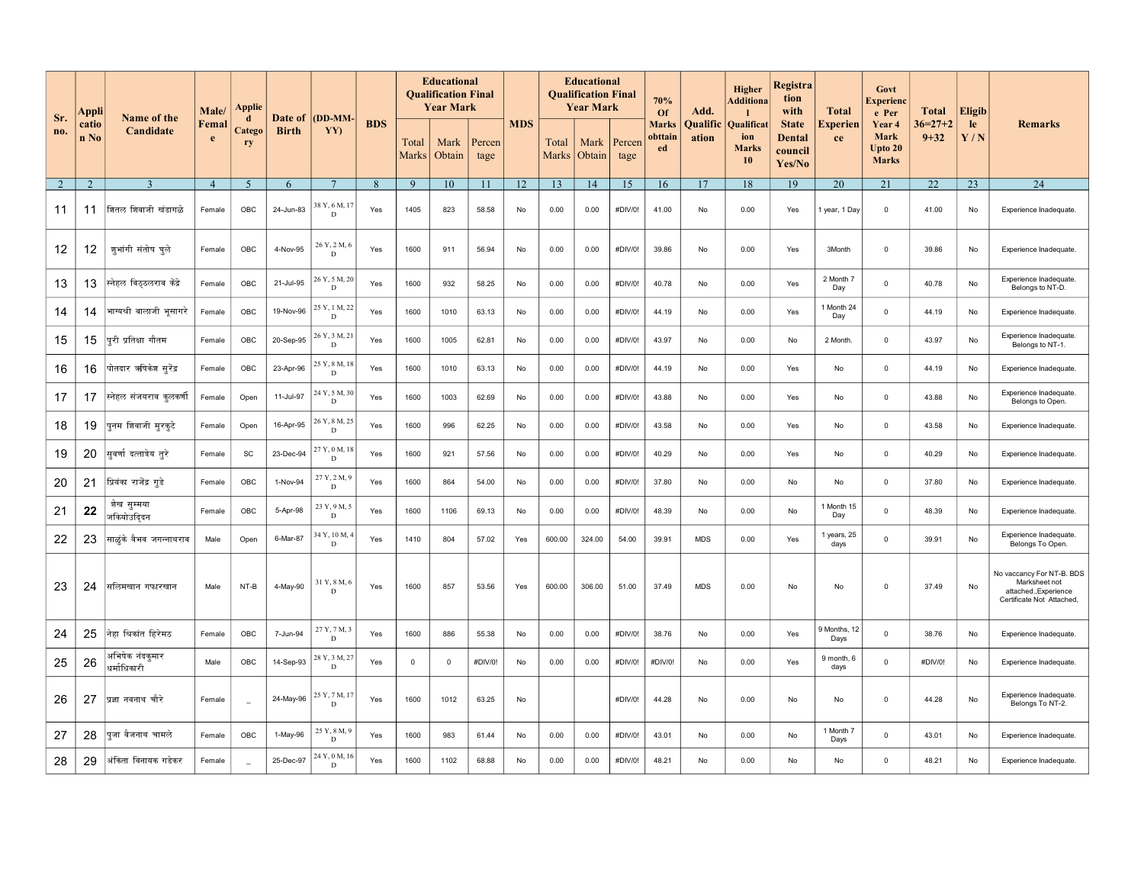|            | Appli          |                                | Male/          | Applie                      |                                |                              |            |                | <b>Educational</b><br><b>Oualification Final</b><br><b>Year Mark</b> |                | <b>MDS</b> | <b>Educational</b><br><b>Qualification Final</b><br><b>Year Mark</b> |                |                | 70%<br>Of                     | Add.              | Higher<br>Additiona                     | Registra<br>tion<br>with                           | <b>Total</b>         | Govt<br>Experienc<br>e Per                           | <b>Total</b>          | Eligib        |                                                                                                  |
|------------|----------------|--------------------------------|----------------|-----------------------------|--------------------------------|------------------------------|------------|----------------|----------------------------------------------------------------------|----------------|------------|----------------------------------------------------------------------|----------------|----------------|-------------------------------|-------------------|-----------------------------------------|----------------------------------------------------|----------------------|------------------------------------------------------|-----------------------|---------------|--------------------------------------------------------------------------------------------------|
| Sr.<br>no. | catio<br>n No  | Name of the<br>Candidate       | Femal<br>e     | $\mathbf d$<br>Catego<br>ry | <b>Date of</b><br><b>Birth</b> | (DD-MM<br>YY)                | <b>BDS</b> | Total<br>Marks | Mark<br>Obtain                                                       | Percen<br>tage |            | Total<br>Marks                                                       | Mark<br>Obtain | Percen<br>tage | <b>Marks</b><br>obttain<br>ed | Qualific<br>ation | Qualificat<br>ion<br><b>Marks</b><br>10 | <b>State</b><br><b>Dental</b><br>council<br>Yes/No | ⊻xperien<br>ce       | Year <sub>4</sub><br>Mark<br>Upto 20<br><b>Marks</b> | $36=27+2$<br>$9 + 32$ | $l$ e<br>Y/N  | <b>Remarks</b>                                                                                   |
| 2          | $\overline{2}$ | $\mathbf{3}$                   | $\overline{4}$ | 5                           | 6                              | -7                           | 8          | 9              | 10                                                                   | 11             | 12         | 13                                                                   | 14             | 15             | 16                            | 17                | 18                                      | 19                                                 | 20                   | 21                                                   | 22                    | 23            | 24                                                                                               |
| 11         | 11             | शितल शिवाजी खंडागळे            | Female         | OBC                         | 24-Jun-83                      | 38 Y, 6 M, 1<br>D            | Yes        | 1405           | 823                                                                  | 58.58          | No         | 0.00                                                                 | 0.00           | #DIV/0!        | 41.00                         | No                | 0.00                                    | Yes                                                | year, 1 Day          | $\mathbf 0$                                          | 41.00                 | No            | Experience Inadequate.                                                                           |
| 12         | 12             | ज़ूभांगी संतोष घूले            | Female         | OBC                         | 4-Nov-95                       | 26 Y, 2 M, 6<br>D            | Yes        | 1600           | 911                                                                  | 56.94          | No         | 0.00                                                                 | 0.00           | #DIV/0!        | 39.86                         | No                | 0.00                                    | Yes                                                | 3Month               | $\mathsf 0$                                          | 39.86                 | No            | Experience Inadequate.                                                                           |
| 13         | 13             | स्नेहल विठ्ठलराव केंद्रे       | Female         | OBC                         | 21-Jul-95                      | 26 Y, 5 M, 20<br>$\mathbf D$ | Yes        | 1600           | 932                                                                  | 58.25          | No         | 0.00                                                                 | 0.00           | #DIV/0!        | 40.78                         | No                | 0.00                                    | Yes                                                | 2 Month 7<br>Day     | $\mathsf 0$                                          | 40.78                 | No            | Experience Inadequate.<br>Belongs to NT-D.                                                       |
| 14         | 14             | भाग्यश्री बालाजी भूसागरे       | Female         | OBC                         | 19-Nov-96                      | 25 Y, 1 M, 22<br>D           | Yes        | 1600           | 1010                                                                 | 63.13          | No         | 0.00                                                                 | 0.00           | #DIV/0!        | 44.19                         | No                | 0.00                                    | Yes                                                | 1 Month 24<br>Day    | $\mathsf 0$                                          | 44.19                 | No            | Experience Inadequate.                                                                           |
| 15         | 15             | परी प्रतिक्षा गौतम             | Female         | OBC                         | 20-Sep-95                      | 26 Y, 3 M, 2<br>D            | Yes        | 1600           | 1005                                                                 | 62.81          | No         | 0.00                                                                 | 0.00           | #DIV/0!        | 43.97                         | No                | 0.00                                    | No                                                 | 2 Month.             | $\mathbf 0$                                          | 43.97                 | $\mathsf{No}$ | Experience Inadequate.<br>Belongs to NT-1.                                                       |
| 16         | 16             | पोतदार ऋषिकेश सुरेंद्र         | Female         | OBC                         | 23-Apr-96                      | 25 Y, 8 M, 1<br>D            | Yes        | 1600           | 1010                                                                 | 63.13          | No         | 0.00                                                                 | 0.00           | #DIV/0!        | 44.19                         | No                | 0.00                                    | Yes                                                | No                   | $\mathbf 0$                                          | 44.19                 | No            | Experience Inadequate.                                                                           |
| 17         | 17             | स्नेहल संजयराव कुलकर्णी        | Female         | Open                        | 11-Jul-97                      | 24 Y, 5 M, 30<br>D           | Yes        | 1600           | 1003                                                                 | 62.69          | No         | 0.00                                                                 | 0.00           | #DIV/0!        | 43.88                         | No                | 0.00                                    | Yes                                                | No                   | $\mathbf 0$                                          | 43.88                 | No            | Experience Inadequate.<br>Belongs to Open.                                                       |
| 18         | 19             | पनम शिवाजी मुरकुटे             | Female         | Open                        | 16-Apr-95                      | 26 Y, 8 M, 25<br>D           | Yes        | 1600           | 996                                                                  | 62.25          | No         | 0.00                                                                 | 0.00           | #DIV/0!        | 43.58                         | No                | 0.00                                    | Yes                                                | No                   | $\mathbf 0$                                          | 43.58                 | No            | Experience Inadequate.                                                                           |
| 19         | 20             | सूवर्णादत्तात्रेय तूरे         | Female         | SC                          | 23-Dec-94                      | 27 Y, 0 M, 1<br>D            | Yes        | 1600           | 921                                                                  | 57.56          | No         | 0.00                                                                 | 0.00           | #DIV/0!        | 40.29                         | No                | 0.00                                    | Yes                                                | No                   | $\mathsf 0$                                          | 40.29                 | No            | Experience Inadequate                                                                            |
| 20         | 21             | प्रियंका राजेंद्र गुडे         | Female         | OBC                         | 1-Nov-94                       | 27 Y, 2 M, 9<br>$\mathbf D$  | Yes        | 1600           | 864                                                                  | 54.00          | No         | 0.00                                                                 | 0.00           | #DIV/0!        | 37.80                         | No                | 0.00                                    | No                                                 | No                   | $\mathsf 0$                                          | 37.80                 | No            | Experience Inadequate.                                                                           |
| 21         | 22             | शेख सुम्मया<br>जकियोउदिदन      | Female         | OBC                         | 5-Apr-98                       | 23 Y, 9 M, 5<br>D            | Yes        | 1600           | 1106                                                                 | 69.13          | No         | 0.00                                                                 | 0.00           | #DIV/0!        | 48.39                         | No                | 0.00                                    | No                                                 | 1 Month 15<br>Day    | $\mathsf 0$                                          | 48.39                 | No            | Experience Inadequate.                                                                           |
| 22         | 23             | साळुंके वैभव जगन्नाथराव        | Male           | Open                        | 6-Mar-87                       | 34 Y, 10 M,<br>D             | Yes        | 1410           | 804                                                                  | 57.02          | Yes        | 600.00                                                               | 324.00         | 54.00          | 39.91                         | <b>MDS</b>        | 0.00                                    | Yes                                                | lyears, 25<br>days   | $\overline{0}$                                       | 39.91                 | No            | Experience Inadequate.<br>Belongs To Open.                                                       |
| 23         | 24             | सलिमखान गफारखान                | Male           | NT-B                        | 4-May-90                       | 31 Y, 8 M, 6<br>D            | Yes        | 1600           | 857                                                                  | 53.56          | Yes        | 600.00                                                               | 306.00         | 51.00          | 37.49                         | <b>MDS</b>        | 0.00                                    | No                                                 | No                   | $\mathsf 0$                                          | 37.49                 | No            | No vaccancy For NT-B. BDS<br>Marksheet not<br>attached., Experience<br>Certificate Not Attached, |
| 24         | 25             | नेहा श्रिकांत हिरेमठ           | Female         | OBC                         | 7-Jun-94                       | 27 Y, 7 M, 3<br>$\mathbf D$  | Yes        | 1600           | 886                                                                  | 55.38          | No         | 0.00                                                                 | 0.00           | #DIV/0!        | 38.76                         | No                | 0.00                                    | Yes                                                | 9 Months, 12<br>Days | $\mathbf 0$                                          | 38.76                 | No            | Experience Inadequate.                                                                           |
| 25         | 26             | अभिषेक नंदकुमार<br>धर्माधिकारी | Male           | OBC                         | 14-Sep-93                      | 28 Y, 3 M, 27<br>D           | Yes        | $\Omega$       | $\Omega$                                                             | #DIV/0!        | No         | 0.00                                                                 | 0.00           | #DIV/0!        | #DIV/0!                       | No                | 0.00                                    | Yes                                                | 9 month, 6<br>days   | $\mathbf 0$                                          | #DIV/0!               | No            | Experience Inadequate.                                                                           |
| 26         | 27             | प्रज्ञानवनाथ चौरे              | Female         | $\overline{\phantom{a}}$    | 24-May-96                      | 25 Y, 7 M, 1<br>D            | Yes        | 1600           | 1012                                                                 | 63.25          | No         |                                                                      |                | #DIV/0!        | 44.28                         | No                | 0.00                                    | No                                                 | No                   | $\mathbf 0$                                          | 44.28                 | No            | Experience Inadequate.<br>Belongs To NT-2.                                                       |
| 27         | 28             | पूजा वैजनाथ चामले              | Female         | OBC                         | 1-May-96                       | 25 Y, 8 M, 9<br>$\mathbf D$  | Yes        | 1600           | 983                                                                  | 61.44          | No         | 0.00                                                                 | 0.00           | #DIV/0!        | 43.01                         | No                | 0.00                                    | No                                                 | 1 Month 7<br>Days    | $\overline{0}$                                       | 43.01                 | No            | Experience Inadequate.                                                                           |
| 28         | 29             | अंकिता विनायक गडेकर            | Female         | $\overline{\phantom{a}}$    | 25-Dec-97                      | 24 Y, 0 M, 16<br>D           | Yes        | 1600           | 1102                                                                 | 68.88          | No         | 0.00                                                                 | 0.00           | #DIV/0!        | 48.21                         | No                | 0.00                                    | No                                                 | No                   | $\mathbf 0$                                          | 48.21                 | No            | Experience Inadequate.                                                                           |